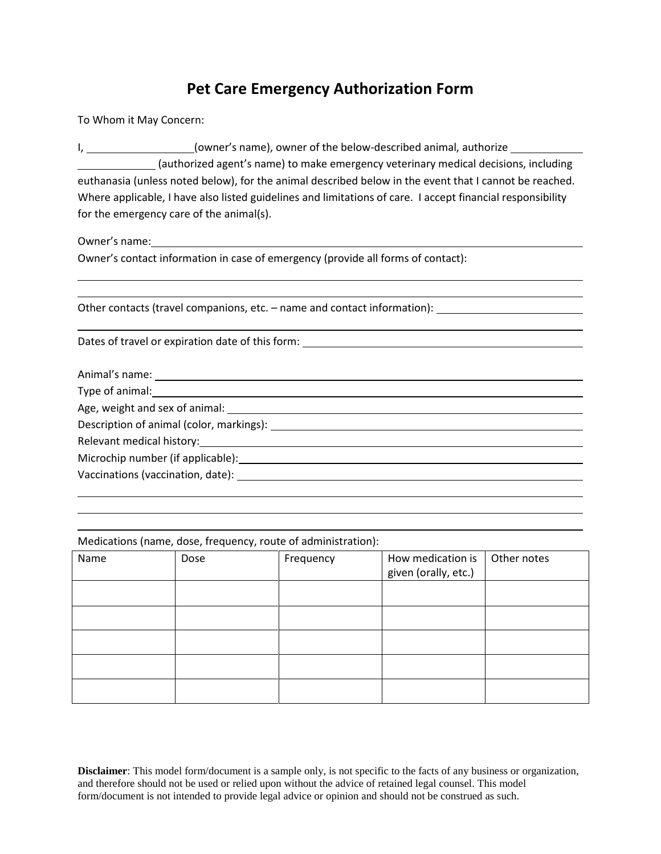## **Pet Care Emergency Authorization Form**

To Whom it May Concern:

I, 1. 2012 [owner's name), owner of the below-described animal, authorize (authorized agent's name) to make emergency veterinary medical decisions, including euthanasia (unless noted below), for the animal described below in the event that I cannot be reached. Where applicable, I have also listed guidelines and limitations of care. I accept financial responsibility for the emergency care of the animal(s).

Owner's name:

Owner's contact information in case of emergency (provide all forms of contact):

Other contacts (travel companions, etc. – name and contact information):

Dates of travel or expiration date of this form:

Animal's name:

Type of animal:

Age, weight and sex of animal:

Description of animal (color, markings):

Relevant medical history:

Microchip number (if applicable):

Vaccinations (vaccination, date):

Medications (name, dose, frequency, route of administration):

| Name | Dose | Frequency | How medication is    | Other notes |
|------|------|-----------|----------------------|-------------|
|      |      |           | given (orally, etc.) |             |
|      |      |           |                      |             |
|      |      |           |                      |             |
|      |      |           |                      |             |
|      |      |           |                      |             |
|      |      |           |                      |             |
|      |      |           |                      |             |
|      |      |           |                      |             |
|      |      |           |                      |             |
|      |      |           |                      |             |
|      |      |           |                      |             |

**Disclaimer**: This model form/document is a sample only, is not specific to the facts of any business or organization, and therefore should not be used or relied upon without the advice of retained legal counsel. This model form/document is not intended to provide legal advice or opinion and should not be construed as such.